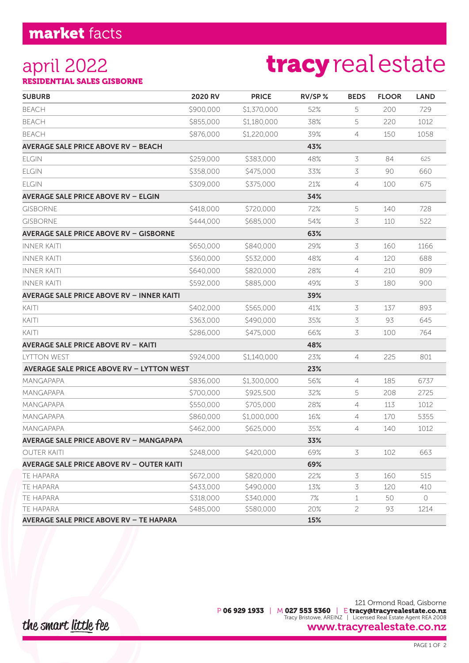### market facts

### april 2022

# tracyrealestate

RESIDENTIAL SALES GISBORNE

| <b>SUBURB</b>                                    | 2020 RV   | <b>PRICE</b> | RV/SP% | <b>BEDS</b>    | <b>FLOOR</b> | <b>LAND</b> |
|--------------------------------------------------|-----------|--------------|--------|----------------|--------------|-------------|
| <b>BEACH</b>                                     | \$900,000 | \$1,370,000  | 52%    | 5              | 200          | 729         |
| <b>BEACH</b>                                     | \$855,000 | \$1,180,000  | 38%    | 5              | 220          | 1012        |
| <b>BEACH</b>                                     | \$876,000 | \$1,220,000  | 39%    | 4              | 150          | 1058        |
| <b>AVERAGE SALE PRICE ABOVE RV - BEACH</b>       |           |              | 43%    |                |              |             |
| <b>ELGIN</b>                                     | \$259,000 | \$383,000    | 48%    | 3              | 84           | 625         |
| <b>ELGIN</b>                                     | \$358,000 | \$475,000    | 33%    | 3              | 90           | 660         |
| <b>ELGIN</b>                                     | \$309,000 | \$375,000    | 21%    | $\overline{4}$ | 100          | 675         |
| <b>AVERAGE SALE PRICE ABOVE RV - ELGIN</b>       |           |              | 34%    |                |              |             |
| <b>GISBORNE</b>                                  | \$418,000 | \$720,000    | 72%    | 5              | 140          | 728         |
| <b>GISBORNE</b>                                  | \$444,000 | \$685,000    | 54%    | 3              | 110          | 522         |
| <b>AVERAGE SALE PRICE ABOVE RV - GISBORNE</b>    |           |              | 63%    |                |              |             |
| <b>INNER KAITI</b>                               | \$650,000 | \$840,000    | 29%    | 3              | 160          | 1166        |
| <b>INNER KAITI</b>                               | \$360,000 | \$532,000    | 48%    | 4              | 120          | 688         |
| <b>INNER KAITI</b>                               | \$640,000 | \$820,000    | 28%    | 4              | 210          | 809         |
| <b>INNER KAITI</b>                               | \$592,000 | \$885,000    | 49%    | 3              | 180          | 900         |
| <b>AVERAGE SALE PRICE ABOVE RV - INNER KAITI</b> |           |              | 39%    |                |              |             |
| KAITI                                            | \$402,000 | \$565,000    | 41%    | 3              | 137          | 893         |
| KAITI                                            | \$363,000 | \$490,000    | 35%    | 3              | 93           | 645         |
| KAITI                                            | \$286,000 | \$475,000    | 66%    | 3              | 100          | 764         |
| <b>AVERAGE SALE PRICE ABOVE RV - KAITI</b>       |           |              | 48%    |                |              |             |
| <b>IYTTON WEST</b>                               | \$924,000 | \$1,140,000  | 23%    | $\overline{4}$ | 225          | 801         |
| <b>AVERAGE SALE PRICE ABOVE RV - LYTTON WEST</b> |           |              | 23%    |                |              |             |
| MANGAPAPA                                        | \$836,000 | \$1,300,000  | 56%    | 4              | 185          | 6737        |
| <b>MANGAPAPA</b>                                 | \$700,000 | \$925,500    | 32%    | 5              | 208          | 2725        |
| <b>MANGAPAPA</b>                                 | \$550,000 | \$705,000    | 28%    | 4              | 113          | 1012        |
| MANGAPAPA                                        | \$860,000 | \$1,000,000  | 16%    | 4              | 170          | 5355        |
| <b>MANGAPAPA</b>                                 | \$462,000 | \$625,000    | 35%    | 4              | 140          | 1012        |
| <b>AVERAGE SALE PRICE ABOVE RV - MANGAPAPA</b>   |           |              | 33%    |                |              |             |
| <b>OUTER KAITI</b>                               | \$248,000 | \$420,000    | 69%    | 3              | 102          | 663         |
| <b>AVERAGE SALE PRICE ABOVE RV - OUTER KAITI</b> |           |              | 69%    |                |              |             |
| TE HAPARA                                        | \$672,000 | \$820,000    | 22%    | 3              | 160          | 515         |
| TE HAPARA                                        | \$433,000 | \$490,000    | 13%    | 3              | 120          | 410         |
| TE HAPARA                                        | \$318,000 | \$340,000    | 7%     | 1              | 50           | 0           |
| TE HAPARA                                        | \$485,000 | \$580,000    | 20%    | 2              | 93           | 1214        |
| <b>AVERAGE SALE PRICE ABOVE RV - TE HAPARA</b>   |           |              | 15%    |                |              |             |

the smart little fee